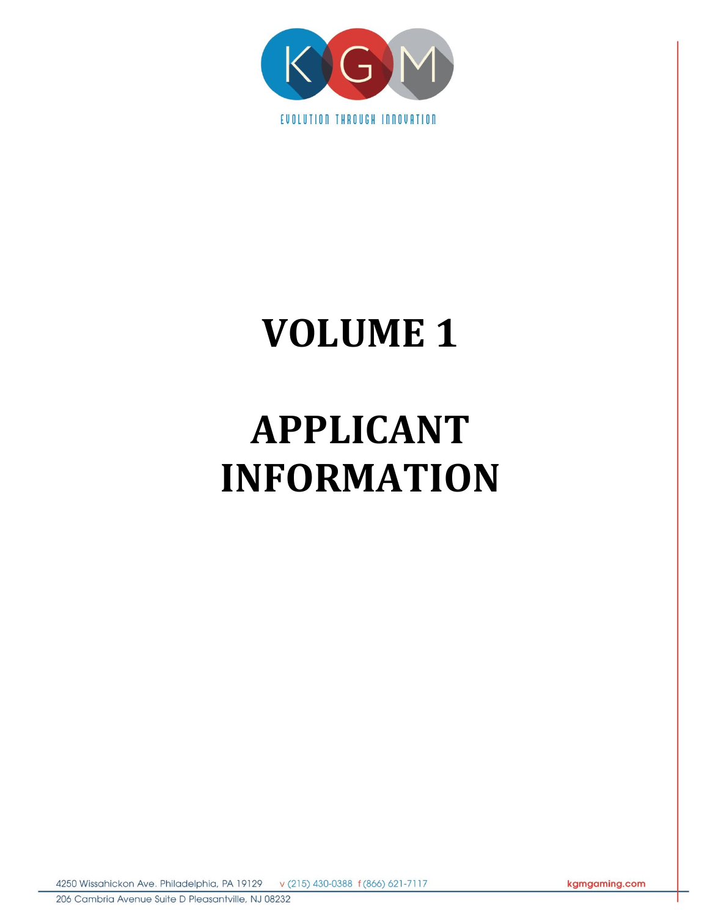

# **VOLUME 1**

# **APPLICANT INFORMATION**

4250 Wissahickon Ave. Philadelphia, PA 19129 v (215) 430-0388 f (866) 621-7117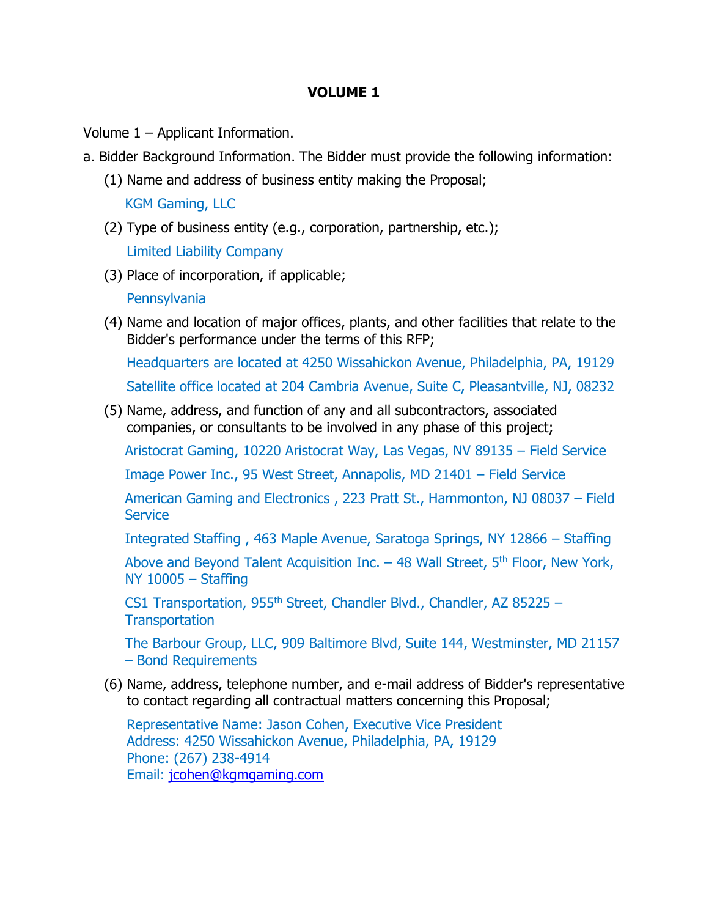### **VOLUME 1**

Volume 1 – Applicant Information.

- a. Bidder Background Information. The Bidder must provide the following information:
	- (1) Name and address of business entity making the Proposal;

KGM Gaming, LLC

- (2) Type of business entity (e.g., corporation, partnership, etc.); Limited Liability Company
- (3) Place of incorporation, if applicable;

## Pennsylvania

(4) Name and location of major offices, plants, and other facilities that relate to the Bidder's performance under the terms of this RFP;

Headquarters are located at 4250 Wissahickon Avenue, Philadelphia, PA, 19129 Satellite office located at 204 Cambria Avenue, Suite C, Pleasantville, NJ, 08232

(5) Name, address, and function of any and all subcontractors, associated companies, or consultants to be involved in any phase of this project;

Aristocrat Gaming, 10220 Aristocrat Way, Las Vegas, NV 89135 – Field Service

Image Power Inc., 95 West Street, Annapolis, MD 21401 – Field Service

American Gaming and Electronics , 223 Pratt St., Hammonton, NJ 08037 – Field **Service** 

Integrated Staffing , 463 Maple Avenue, Saratoga Springs, NY 12866 – Staffing

Above and Beyond Talent Acquisition Inc.  $-$  48 Wall Street, 5<sup>th</sup> Floor, New York, NY 10005 – Staffing

CS1 Transportation,  $955<sup>th</sup>$  Street, Chandler Blvd., Chandler, AZ 85225 – **Transportation** 

The Barbour Group, LLC, 909 Baltimore Blvd, Suite 144, Westminster, MD 21157 – Bond Requirements

(6) Name, address, telephone number, and e-mail address of Bidder's representative to contact regarding all contractual matters concerning this Proposal;

Representative Name: Jason Cohen, Executive Vice President Address: 4250 Wissahickon Avenue, Philadelphia, PA, 19129 Phone: (267) 238-4914 Email: [jcohen@kgmgaming.com](mailto:jcohen@kgmgaming.com)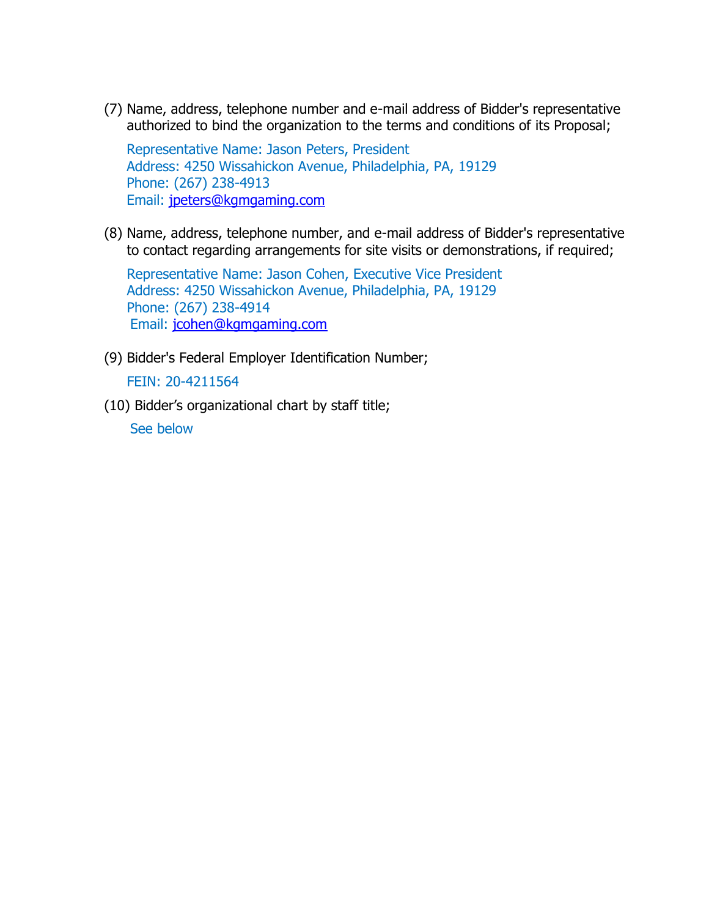(7) Name, address, telephone number and e-mail address of Bidder's representative authorized to bind the organization to the terms and conditions of its Proposal;

Representative Name: Jason Peters, President Address: 4250 Wissahickon Avenue, Philadelphia, PA, 19129 Phone: (267) 238-4913 Email: [jpeters@kgmgaming.com](mailto:jpeters@kgmgaming.com)

(8) Name, address, telephone number, and e-mail address of Bidder's representative to contact regarding arrangements for site visits or demonstrations, if required;

Representative Name: Jason Cohen, Executive Vice President Address: 4250 Wissahickon Avenue, Philadelphia, PA, 19129 Phone: (267) 238-4914 Email: [jcohen@kgmgaming.com](mailto:jcohen@kgmgaming.com)

(9) Bidder's Federal Employer Identification Number;

FEIN: 20-4211564

(10) Bidder's organizational chart by staff title;

See below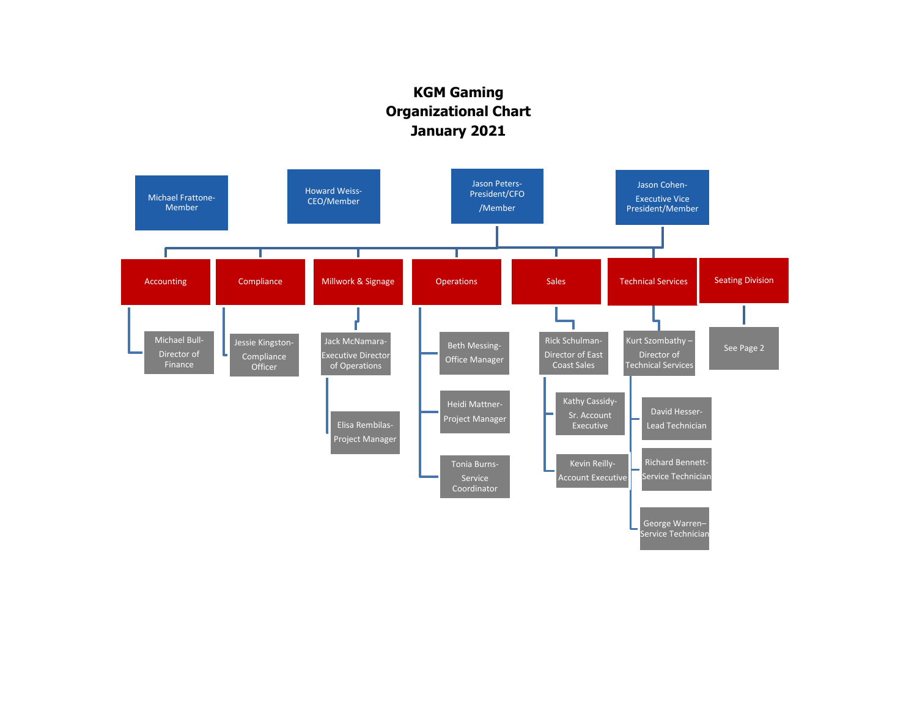## **KGM Gaming Organizational Chart January 2021**

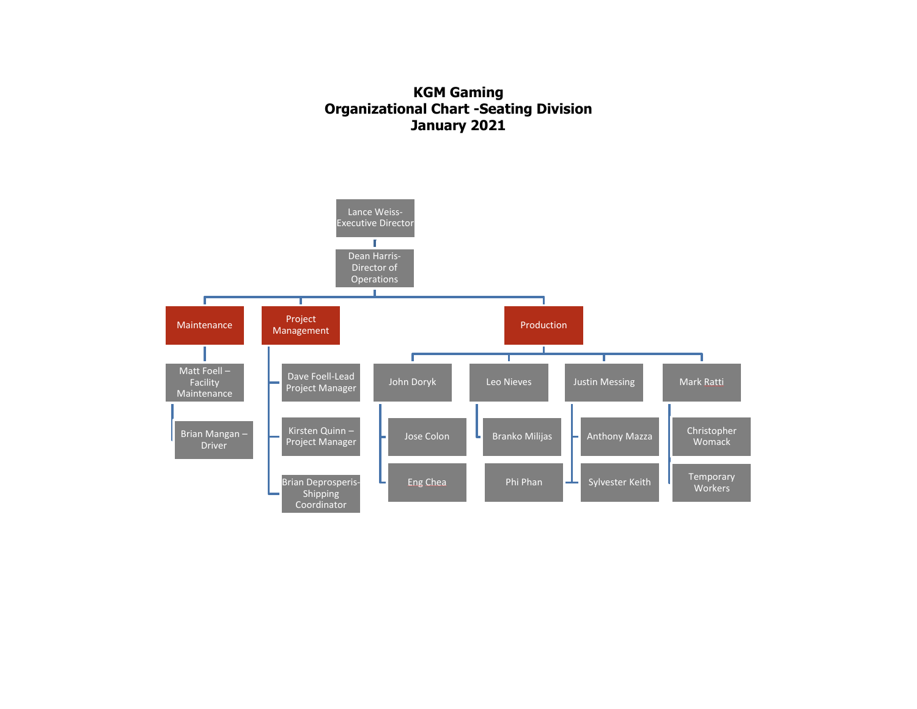**KGM Gaming Organizational Chart -Seating Division January 2021**

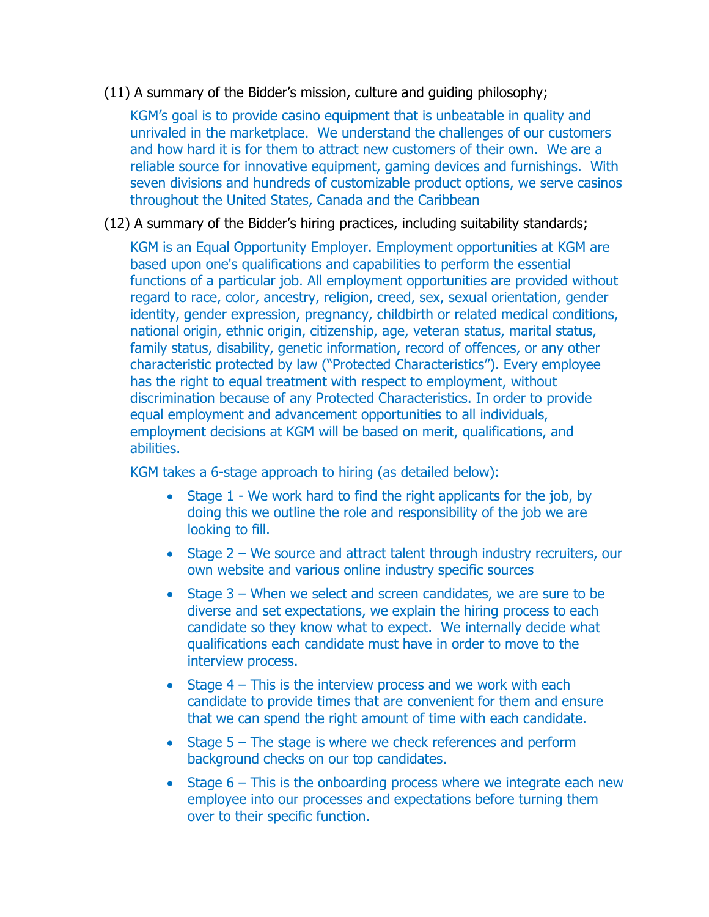(11) A summary of the Bidder's mission, culture and guiding philosophy;

KGM's goal is to provide casino equipment that is unbeatable in quality and unrivaled in the marketplace. We understand the challenges of our customers and how hard it is for them to attract new customers of their own. We are a reliable source for innovative equipment, gaming devices and furnishings. With seven divisions and hundreds of customizable product options, we serve casinos throughout the United States, Canada and the Caribbean

(12) A summary of the Bidder's hiring practices, including suitability standards;

KGM is an Equal Opportunity Employer. Employment opportunities at KGM are based upon one's qualifications and capabilities to perform the essential functions of a particular job. All employment opportunities are provided without regard to race, color, ancestry, religion, creed, sex, sexual orientation, gender identity, gender expression, pregnancy, childbirth or related medical conditions, national origin, ethnic origin, citizenship, age, veteran status, marital status, family status, disability, genetic information, record of offences, or any other characteristic protected by law ("Protected Characteristics"). Every employee has the right to equal treatment with respect to employment, without discrimination because of any Protected Characteristics. In order to provide equal employment and advancement opportunities to all individuals, employment decisions at KGM will be based on merit, qualifications, and abilities.

KGM takes a 6-stage approach to hiring (as detailed below):

- Stage 1 We work hard to find the right applicants for the job, by doing this we outline the role and responsibility of the job we are looking to fill.
- Stage 2 We source and attract talent through industry recruiters, our own website and various online industry specific sources
- Stage 3 When we select and screen candidates, we are sure to be diverse and set expectations, we explain the hiring process to each candidate so they know what to expect. We internally decide what qualifications each candidate must have in order to move to the interview process.
- Stage  $4$  This is the interview process and we work with each candidate to provide times that are convenient for them and ensure that we can spend the right amount of time with each candidate.
- Stage 5 The stage is where we check references and perform background checks on our top candidates.
- Stage  $6$  This is the onboarding process where we integrate each new employee into our processes and expectations before turning them over to their specific function.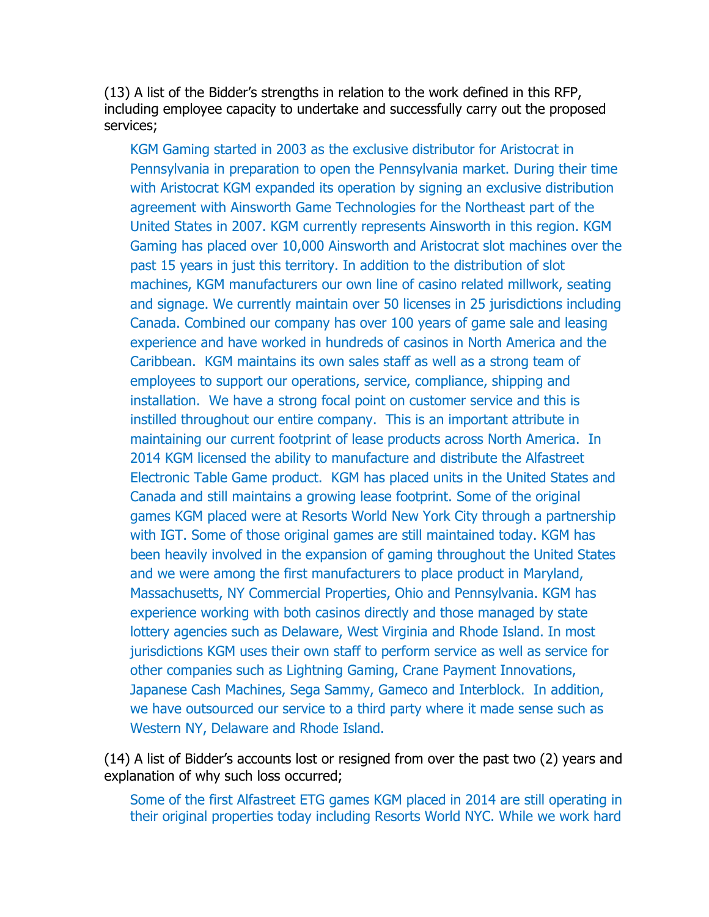(13) A list of the Bidder's strengths in relation to the work defined in this RFP, including employee capacity to undertake and successfully carry out the proposed services;

KGM Gaming started in 2003 as the exclusive distributor for Aristocrat in Pennsylvania in preparation to open the Pennsylvania market. During their time with Aristocrat KGM expanded its operation by signing an exclusive distribution agreement with Ainsworth Game Technologies for the Northeast part of the United States in 2007. KGM currently represents Ainsworth in this region. KGM Gaming has placed over 10,000 Ainsworth and Aristocrat slot machines over the past 15 years in just this territory. In addition to the distribution of slot machines, KGM manufacturers our own line of casino related millwork, seating and signage. We currently maintain over 50 licenses in 25 jurisdictions including Canada. Combined our company has over 100 years of game sale and leasing experience and have worked in hundreds of casinos in North America and the Caribbean. KGM maintains its own sales staff as well as a strong team of employees to support our operations, service, compliance, shipping and installation. We have a strong focal point on customer service and this is instilled throughout our entire company. This is an important attribute in maintaining our current footprint of lease products across North America. In 2014 KGM licensed the ability to manufacture and distribute the Alfastreet Electronic Table Game product. KGM has placed units in the United States and Canada and still maintains a growing lease footprint. Some of the original games KGM placed were at Resorts World New York City through a partnership with IGT. Some of those original games are still maintained today. KGM has been heavily involved in the expansion of gaming throughout the United States and we were among the first manufacturers to place product in Maryland, Massachusetts, NY Commercial Properties, Ohio and Pennsylvania. KGM has experience working with both casinos directly and those managed by state lottery agencies such as Delaware, West Virginia and Rhode Island. In most jurisdictions KGM uses their own staff to perform service as well as service for other companies such as Lightning Gaming, Crane Payment Innovations, Japanese Cash Machines, Sega Sammy, Gameco and Interblock. In addition, we have outsourced our service to a third party where it made sense such as Western NY, Delaware and Rhode Island.

(14) A list of Bidder's accounts lost or resigned from over the past two (2) years and explanation of why such loss occurred;

Some of the first Alfastreet ETG games KGM placed in 2014 are still operating in their original properties today including Resorts World NYC. While we work hard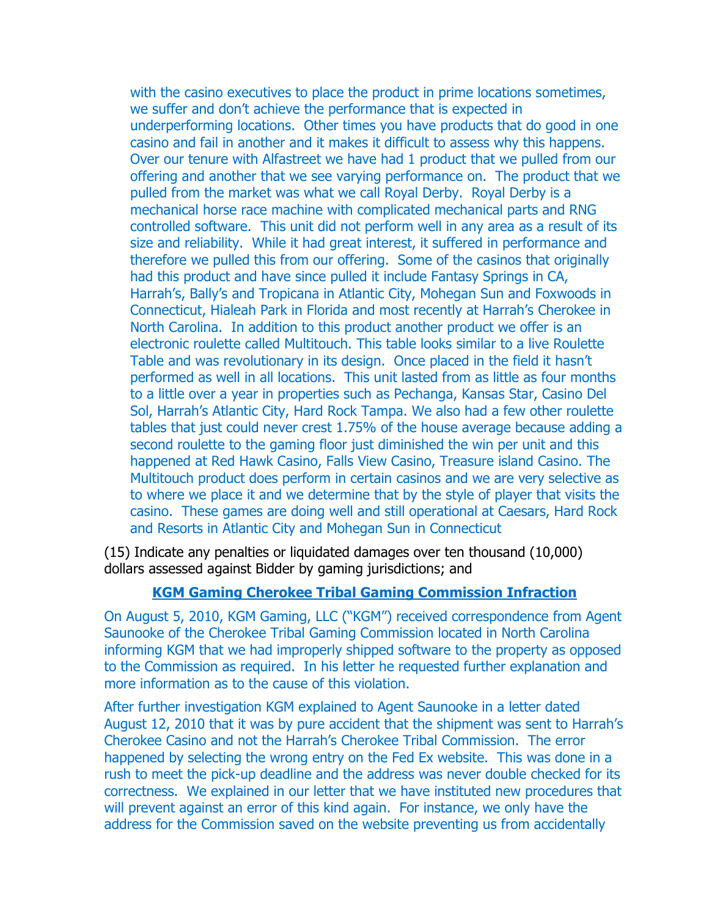with the casino executives to place the product in prime locations sometimes, we suffer and don't achieve the performance that is expected in underperforming locations. Other times you have products that do good in one casino and fail in another and it makes it difficult to assess why this happens. Over our tenure with Alfastreet we have had 1 product that we pulled from our offering and another that we see varying performance on. The product that we pulled from the market was what we call Royal Derby. Royal Derby is a mechanical horse race machine with complicated mechanical parts and RNG controlled software. This unit did not perform well in any area as a result of its size and reliability. While it had great interest, it suffered in performance and therefore we pulled this from our offering. Some of the casinos that originally had this product and have since pulled it include Fantasy Springs in CA, Harrah's, Bally's and Tropicana in Atlantic City, Mohegan Sun and Foxwoods in Connecticut, Hialeah Park in Florida and most recently at Harrah's Cherokee in North Carolina. In addition to this product another product we offer is an electronic roulette called Multitouch. This table looks similar to a live Roulette Table and was revolutionary in its design. Once placed in the field it hasn't performed as well in all locations. This unit lasted from as little as four months to a little over a year in properties such as Pechanga, Kansas Star, Casino Del Sol, Harrah's Atlantic City, Hard Rock Tampa. We also had a few other roulette tables that just could never crest 1.75% of the house average because adding a second roulette to the gaming floor just diminished the win per unit and this happened at Red Hawk Casino, Falls View Casino, Treasure island Casino. The Multitouch product does perform in certain casinos and we are very selective as to where we place it and we determine that by the style of player that visits the casino. These games are doing well and still operational at Caesars, Hard Rock and Resorts in Atlantic City and Mohegan Sun in Connecticut

(15) Indicate any penalties or liquidated damages over ten thousand (10,000) dollars assessed against Bidder by gaming jurisdictions; and

## **KGM Gaming Cherokee Tribal Gaming Commission Infraction**

On August 5, 2010, KGM Gaming, LLC ("KGM") received correspondence from Agent Saunooke of the Cherokee Tribal Gaming Commission located in North Carolina informing KGM that we had improperly shipped software to the property as opposed to the Commission as required. In his letter he requested further explanation and more information as to the cause of this violation.

After further investigation KGM explained to Agent Saunooke in a letter dated August 12, 2010 that it was by pure accident that the shipment was sent to Harrah's Cherokee Casino and not the Harrah's Cherokee Tribal Commission. The error happened by selecting the wrong entry on the Fed Ex website. This was done in a rush to meet the pick-up deadline and the address was never double checked for its correctness. We explained in our letter that we have instituted new procedures that will prevent against an error of this kind again. For instance, we only have the address for the Commission saved on the website preventing us from accidentally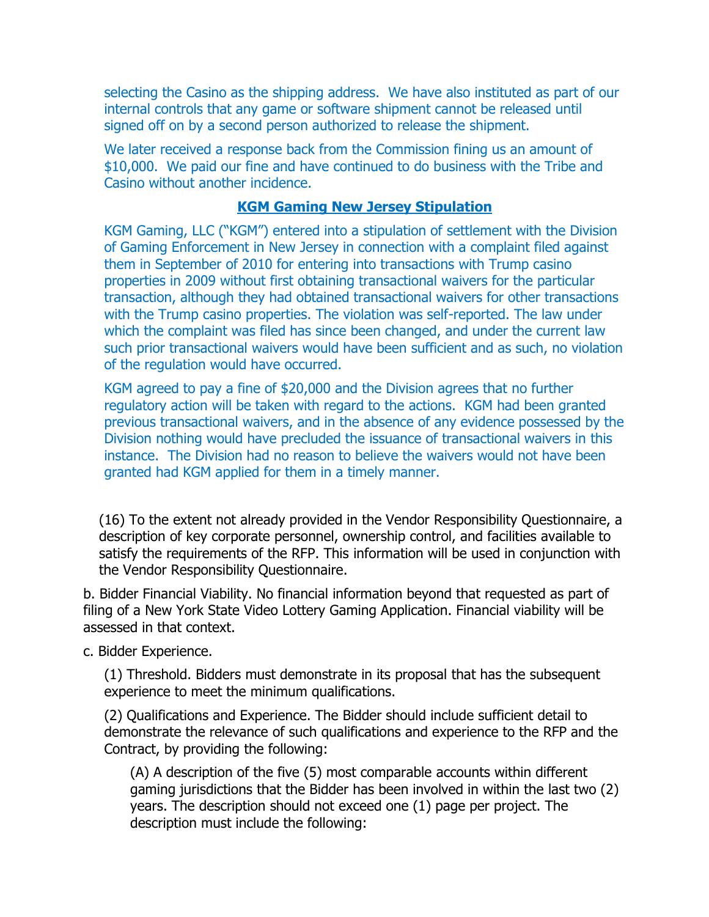selecting the Casino as the shipping address. We have also instituted as part of our internal controls that any game or software shipment cannot be released until signed off on by a second person authorized to release the shipment.

We later received a response back from the Commission fining us an amount of \$10,000. We paid our fine and have continued to do business with the Tribe and Casino without another incidence.

### **KGM Gaming New Jersey Stipulation**

KGM Gaming, LLC ("KGM") entered into a stipulation of settlement with the Division of Gaming Enforcement in New Jersey in connection with a complaint filed against them in September of 2010 for entering into transactions with Trump casino properties in 2009 without first obtaining transactional waivers for the particular transaction, although they had obtained transactional waivers for other transactions with the Trump casino properties. The violation was self-reported. The law under which the complaint was filed has since been changed, and under the current law such prior transactional waivers would have been sufficient and as such, no violation of the regulation would have occurred.

KGM agreed to pay a fine of \$20,000 and the Division agrees that no further regulatory action will be taken with regard to the actions. KGM had been granted previous transactional waivers, and in the absence of any evidence possessed by the Division nothing would have precluded the issuance of transactional waivers in this instance. The Division had no reason to believe the waivers would not have been granted had KGM applied for them in a timely manner.

(16) To the extent not already provided in the Vendor Responsibility Questionnaire, a description of key corporate personnel, ownership control, and facilities available to satisfy the requirements of the RFP. This information will be used in conjunction with the Vendor Responsibility Questionnaire.

b. Bidder Financial Viability. No financial information beyond that requested as part of filing of a New York State Video Lottery Gaming Application. Financial viability will be assessed in that context.

c. Bidder Experience.

(1) Threshold. Bidders must demonstrate in its proposal that has the subsequent experience to meet the minimum qualifications.

(2) Qualifications and Experience. The Bidder should include sufficient detail to demonstrate the relevance of such qualifications and experience to the RFP and the Contract, by providing the following:

(A) A description of the five (5) most comparable accounts within different gaming jurisdictions that the Bidder has been involved in within the last two (2) years. The description should not exceed one (1) page per project. The description must include the following: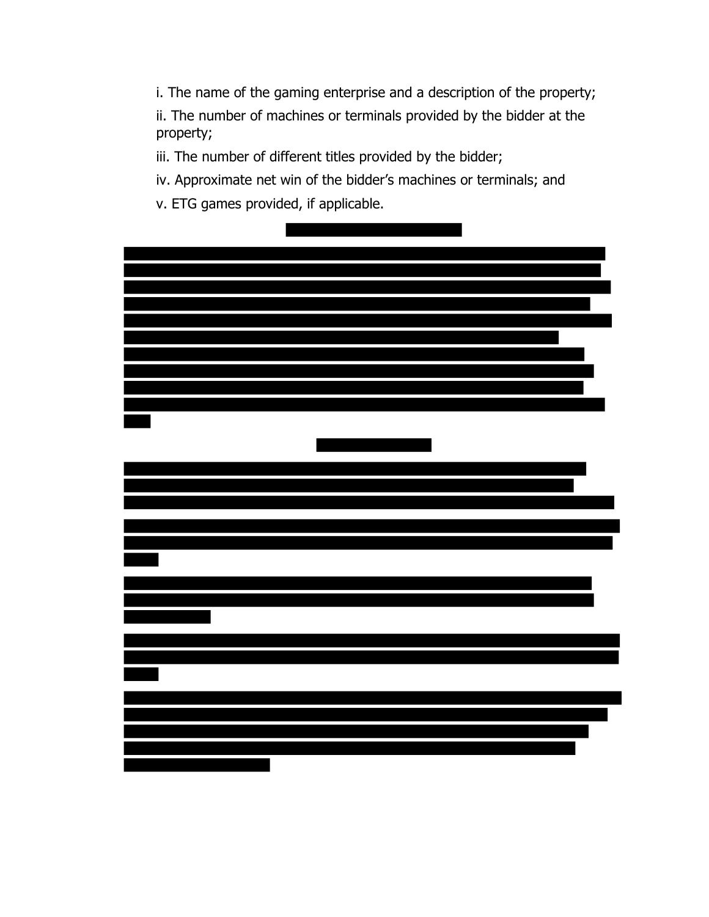i. The name of the gaming enterprise and a description of the property; ii. The number of machines or terminals provided by the bidder at the property;

iii. The number of different titles provided by the bidder;

- iv. Approximate net win of the bidder's machines or terminals; and
- v. ETG games provided, if applicable.

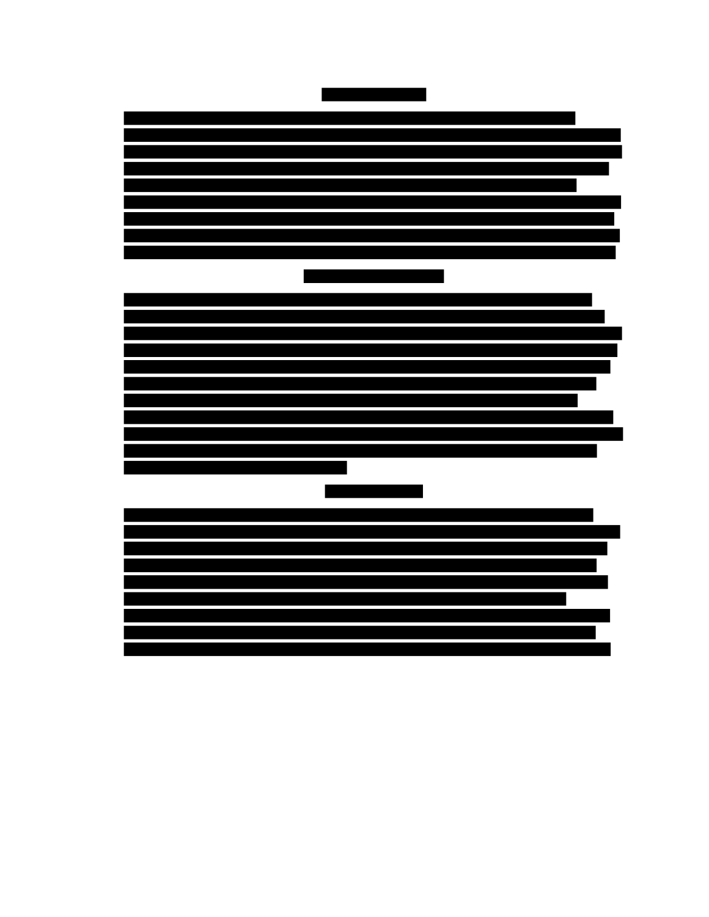

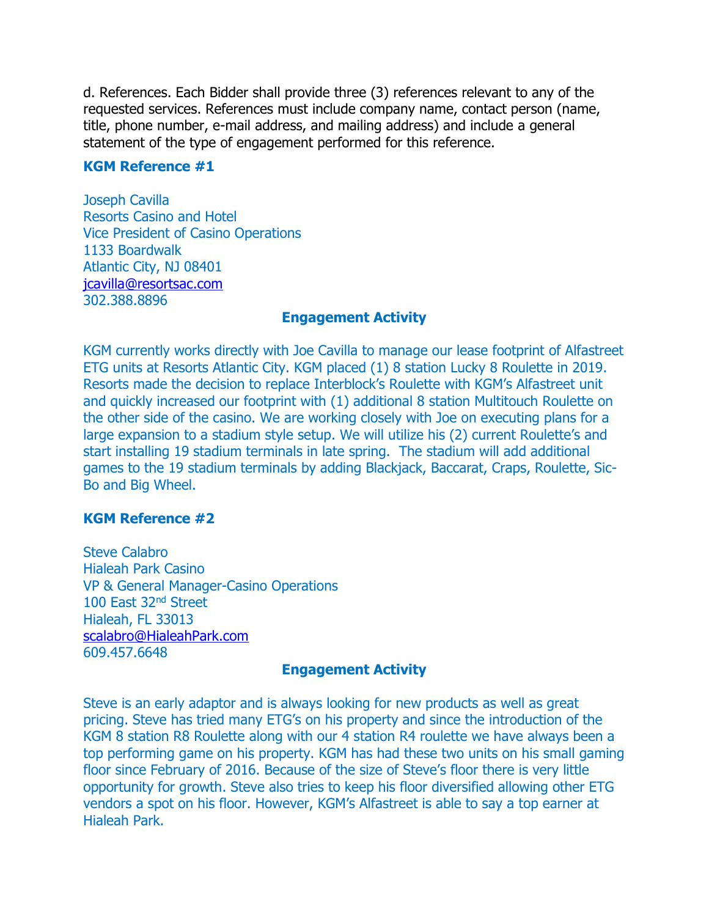d. References. Each Bidder shall provide three (3) references relevant to any of the requested services. References must include company name, contact person (name, title, phone number, e-mail address, and mailing address) and include a general statement of the type of engagement performed for this reference.

#### **KGM Reference #1**

Joseph Cavilla Resorts Casino and Hotel Vice President of Casino Operations 1133 Boardwalk Atlantic City, NJ 08401 [jcavilla@resortsac.com](mailto:jcavilla@resortsac.com) 302.388.8896

#### **Engagement Activity**

KGM currently works directly with Joe Cavilla to manage our lease footprint of Alfastreet ETG units at Resorts Atlantic City. KGM placed (1) 8 station Lucky 8 Roulette in 2019. Resorts made the decision to replace Interblock's Roulette with KGM's Alfastreet unit and quickly increased our footprint with (1) additional 8 station Multitouch Roulette on the other side of the casino. We are working closely with Joe on executing plans for a large expansion to a stadium style setup. We will utilize his (2) current Roulette's and start installing 19 stadium terminals in late spring. The stadium will add additional games to the 19 stadium terminals by adding Blackjack, Baccarat, Craps, Roulette, Sic-Bo and Big Wheel.

#### **KGM Reference #2**

Steve Calabro Hialeah Park Casino VP & General Manager-Casino Operations 100 East 32nd Street Hialeah, FL 33013 [scalabro@HialeahPark.com](mailto:scalabro@HialeahPark.com) 609.457.6648

#### **Engagement Activity**

Steve is an early adaptor and is always looking for new products as well as great pricing. Steve has tried many ETG's on his property and since the introduction of the KGM 8 station R8 Roulette along with our 4 station R4 roulette we have always been a top performing game on his property. KGM has had these two units on his small gaming floor since February of 2016. Because of the size of Steve's floor there is very little opportunity for growth. Steve also tries to keep his floor diversified allowing other ETG vendors a spot on his floor. However, KGM's Alfastreet is able to say a top earner at Hialeah Park.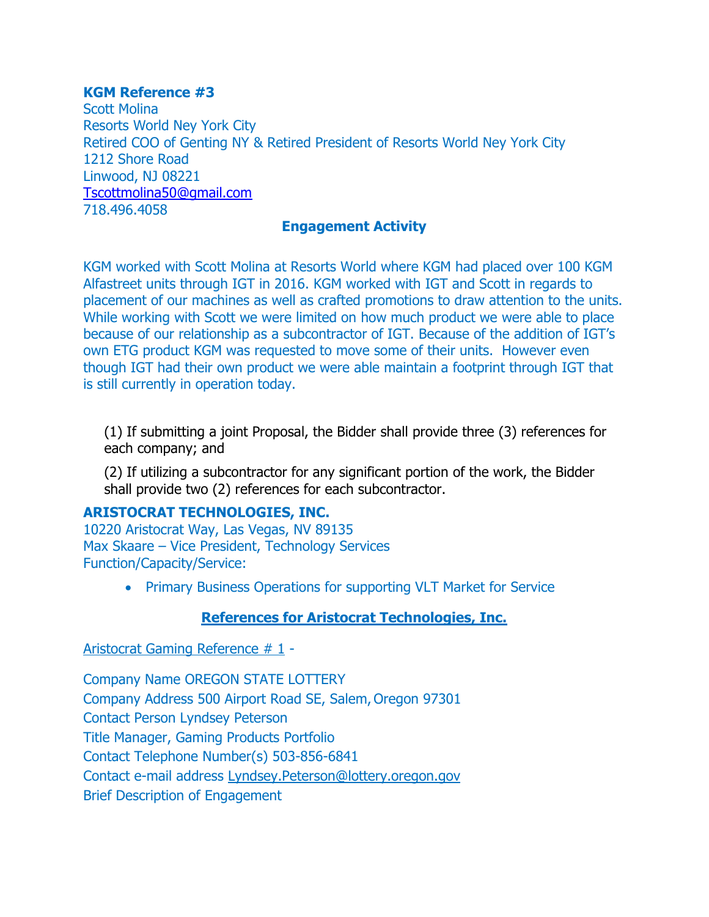### **KGM Reference #3**

Scott Molina Resorts World Ney York City Retired COO of Genting NY & Retired President of Resorts World Ney York City 1212 Shore Road Linwood, NJ 08221 [Tscottmolina50@gmail.com](mailto:Tscottmolina50@gmail.com) 718.496.4058

#### **Engagement Activity**

KGM worked with Scott Molina at Resorts World where KGM had placed over 100 KGM Alfastreet units through IGT in 2016. KGM worked with IGT and Scott in regards to placement of our machines as well as crafted promotions to draw attention to the units. While working with Scott we were limited on how much product we were able to place because of our relationship as a subcontractor of IGT. Because of the addition of IGT's own ETG product KGM was requested to move some of their units. However even though IGT had their own product we were able maintain a footprint through IGT that is still currently in operation today.

(1) If submitting a joint Proposal, the Bidder shall provide three (3) references for each company; and

(2) If utilizing a subcontractor for any significant portion of the work, the Bidder shall provide two (2) references for each subcontractor.

#### **ARISTOCRAT TECHNOLOGIES, INC.**

10220 Aristocrat Way, Las Vegas, NV 89135 Max Skaare – Vice President, Technology Services Function/Capacity/Service:

• Primary Business Operations for supporting VLT Market for Service

## **References for Aristocrat Technologies, Inc.**

Aristocrat Gaming Reference # 1 -

Company Name OREGON STATE LOTTERY Company Address 500 Airport Road SE, Salem, Oregon 97301 Contact Person Lyndsey Peterson Title Manager, Gaming Products Portfolio Contact Telephone Number(s) 503-856-6841 Contact e-mail address [Lyndsey.Peterson@lottery.oregon.gov](mailto:Lyndsey.Peterson@lottery.oregon.gov) Brief Description of Engagement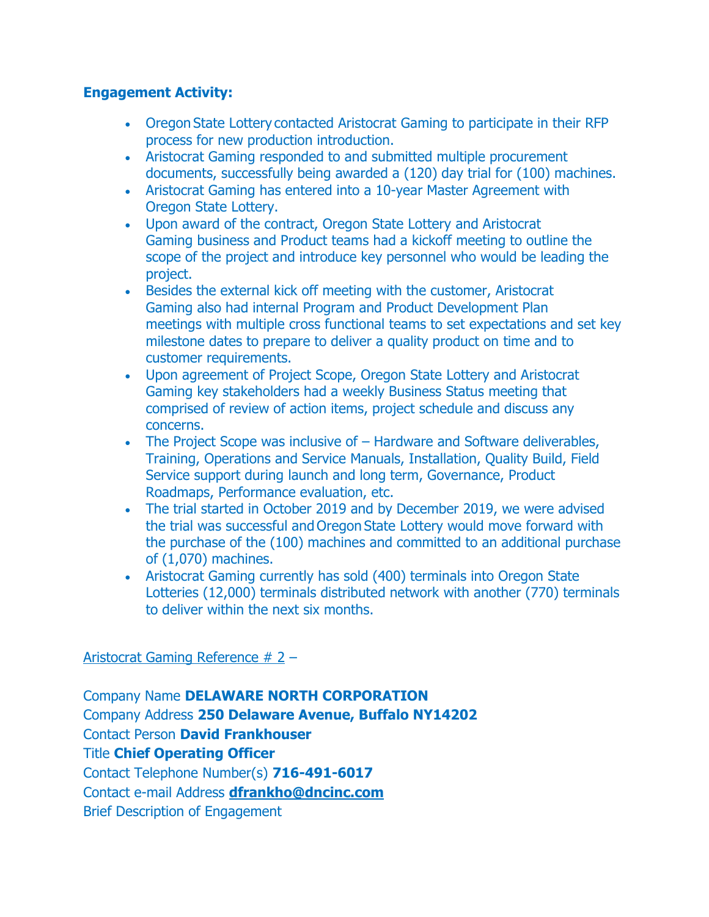### **Engagement Activity:**

- Oregon State Lottery contacted Aristocrat Gaming to participate in their RFP process for new production introduction.
- Aristocrat Gaming responded to and submitted multiple procurement documents, successfully being awarded a (120) day trial for (100) machines.
- Aristocrat Gaming has entered into a 10-year Master Agreement with Oregon State Lottery.
- Upon award of the contract, Oregon State Lottery and Aristocrat Gaming business and Product teams had a kickoff meeting to outline the scope of the project and introduce key personnel who would be leading the project.
- Besides the external kick off meeting with the customer, Aristocrat Gaming also had internal Program and Product Development Plan meetings with multiple cross functional teams to set expectations and set key milestone dates to prepare to deliver a quality product on time and to customer requirements.
- Upon agreement of Project Scope, Oregon State Lottery and Aristocrat Gaming key stakeholders had a weekly Business Status meeting that comprised of review of action items, project schedule and discuss any concerns.
- The Project Scope was inclusive of Hardware and Software deliverables, Training, Operations and Service Manuals, Installation, Quality Build, Field Service support during launch and long term, Governance, Product Roadmaps, Performance evaluation, etc.
- The trial started in October 2019 and by December 2019, we were advised the trial was successful and Oregon State Lottery would move forward with the purchase of the (100) machines and committed to an additional purchase of (1,070) machines.
- Aristocrat Gaming currently has sold (400) terminals into Oregon State Lotteries (12,000) terminals distributed network with another (770) terminals to deliver within the next six months.

## Aristocrat Gaming Reference # 2 –

Company Name **DELAWARE NORTH CORPORATION** Company Address **250 Delaware Avenue, Buffalo NY14202** Contact Person **David Frankhouser** Title **Chief Operating Officer** Contact Telephone Number(s) **716-491-6017** Contact e-mail Address **[dfrankho@dncinc.com](mailto:dfrankho@dncinc.com)** Brief Description of Engagement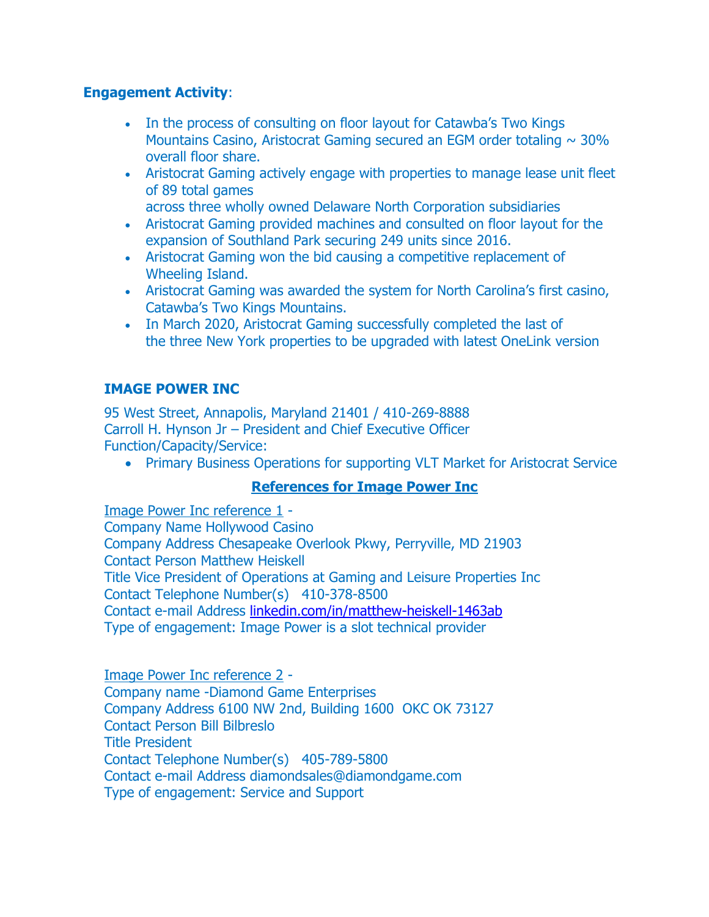#### **Engagement Activity**:

- In the process of consulting on floor layout for Catawba's Two Kings Mountains Casino, Aristocrat Gaming secured an EGM order totaling  $\sim$  30% overall floor share.
- Aristocrat Gaming actively engage with properties to manage lease unit fleet of 89 total games
	- across three wholly owned Delaware North Corporation subsidiaries
- Aristocrat Gaming provided machines and consulted on floor layout for the expansion of Southland Park securing 249 units since 2016.
- Aristocrat Gaming won the bid causing a competitive replacement of Wheeling Island.
- Aristocrat Gaming was awarded the system for North Carolina's first casino, Catawba's Two Kings Mountains.
- In March 2020, Aristocrat Gaming successfully completed the last of the three New York properties to be upgraded with latest OneLink version

## **IMAGE POWER INC**

95 West Street, Annapolis, Maryland 21401 / 410-269-8888 Carroll H. Hynson Jr – President and Chief Executive Officer Function/Capacity/Service:

• Primary Business Operations for supporting VLT Market for Aristocrat Service

## **References for Image Power Inc**

Image Power Inc reference 1 - Company Name Hollywood Casino Company Address Chesapeake Overlook Pkwy, Perryville, MD 21903 Contact Person Matthew Heiskell Title Vice President of Operations at Gaming and Leisure Properties Inc Contact Telephone Number(s) 410-378-8500 Contact e-mail Address [linkedin.com/in/matthew-heiskell-1463ab](http://linkedin.com/in/matthew-heiskell-1463ab) Type of engagement: Image Power is a slot technical provider

Image Power Inc reference 2 -

Company name -Diamond Game Enterprises Company Address 6100 NW 2nd, Building 1600 OKC OK 73127

Contact Person Bill Bilbreslo

Title President

Contact Telephone Number(s) 405-789-5800

Contact e-mail Address diamondsales@diamondgame.com

Type of engagement: Service and Support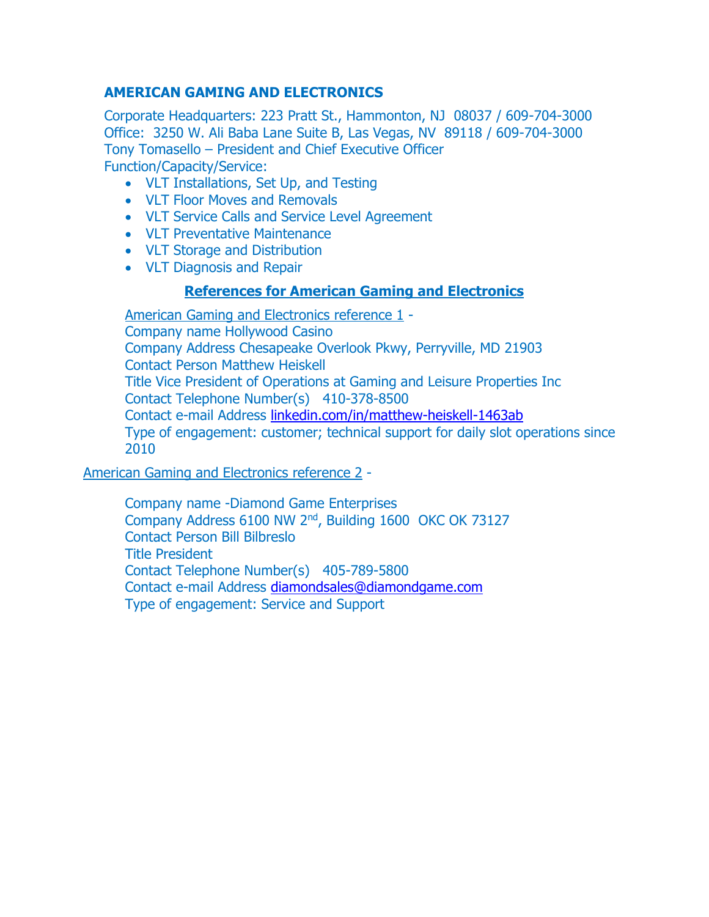## **AMERICAN GAMING AND ELECTRONICS**

Corporate Headquarters: 223 Pratt St., Hammonton, NJ 08037 / 609-704-3000 Office: 3250 W. Ali Baba Lane Suite B, Las Vegas, NV 89118 / 609-704-3000 Tony Tomasello – President and Chief Executive Officer Function/Capacity/Service:

- VLT Installations, Set Up, and Testing
- VLT Floor Moves and Removals
- VLT Service Calls and Service Level Agreement
- VLT Preventative Maintenance
- VLT Storage and Distribution
- VLT Diagnosis and Repair

#### **References for American Gaming and Electronics**

American Gaming and Electronics reference 1 - Company name Hollywood Casino Company Address Chesapeake Overlook Pkwy, Perryville, MD 21903 Contact Person Matthew Heiskell Title Vice President of Operations at Gaming and Leisure Properties Inc Contact Telephone Number(s) 410-378-8500 Contact e-mail Address [linkedin.com/in/matthew-heiskell-1463ab](http://linkedin.com/in/matthew-heiskell-1463ab) Type of engagement: customer; technical support for daily slot operations since 2010

American Gaming and Electronics reference 2 -

Company name -Diamond Game Enterprises Company Address 6100 NW 2<sup>nd</sup>, Building 1600 OKC OK 73127 Contact Person Bill Bilbreslo Title President Contact Telephone Number(s) 405-789-5800 Contact e-mail Address [diamondsales@diamondgame.com](mailto:diamondsales@diamondgame.com) Type of engagement: Service and Support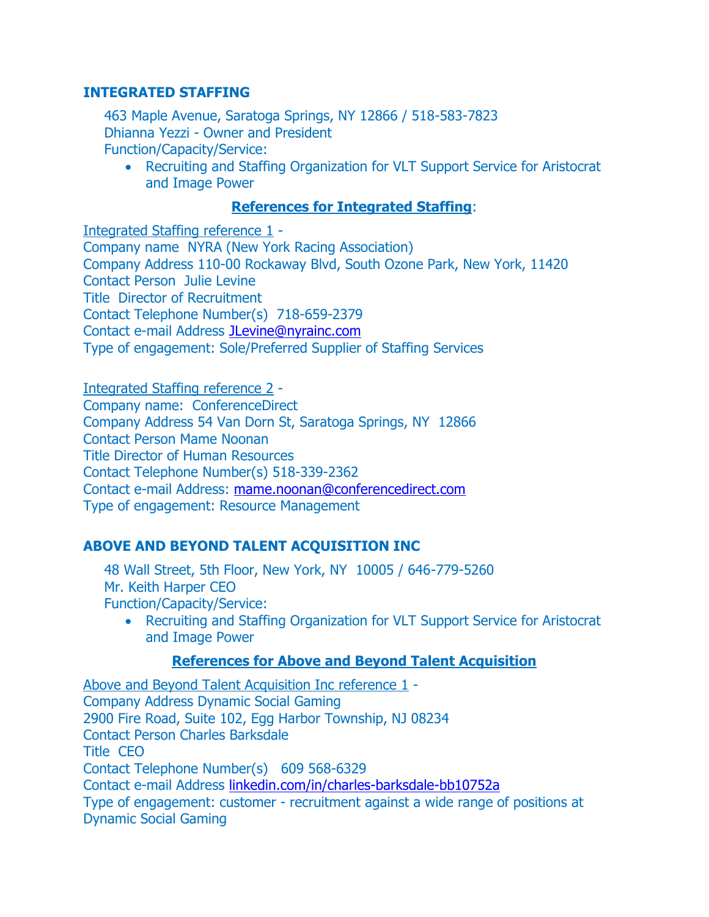### **INTEGRATED STAFFING**

463 Maple Avenue, Saratoga Springs, NY 12866 / 518-583-7823 Dhianna Yezzi - Owner and President Function/Capacity/Service:

• Recruiting and Staffing Organization for VLT Support Service for Aristocrat and Image Power

#### **References for Integrated Staffing**:

Integrated Staffing reference 1 - Company name NYRA (New York Racing Association) Company Address 110-00 Rockaway Blvd, South Ozone Park, New York, 11420 Contact Person Julie Levine Title Director of Recruitment Contact Telephone Number(s) 718-659-2379 Contact e-mail Address [JLevine@nyrainc.com](mailto:JLevine@nyrainc.com) Type of engagement: Sole/Preferred Supplier of Staffing Services

Integrated Staffing reference 2 - Company name: ConferenceDirect Company Address 54 Van Dorn St, Saratoga Springs, NY 12866 Contact Person Mame Noonan Title Director of Human Resources Contact Telephone Number(s) 518-339-2362 Contact e-mail Address: [mame.noonan@conferencedirect.com](mailto:mame.noonan@conferencedirect.com) Type of engagement: Resource Management

## **ABOVE AND BEYOND TALENT ACQUISITION INC**

48 Wall Street, 5th Floor, New York, NY 10005 / 646-779-5260 Mr. Keith Harper CEO Function/Capacity/Service:

• Recruiting and Staffing Organization for VLT Support Service for Aristocrat and Image Power

## **References for Above and Beyond Talent Acquisition**

Above and Beyond Talent Acquisition Inc reference 1 - Company Address Dynamic Social Gaming 2900 Fire Road, Suite 102, Egg Harbor Township, NJ 08234 Contact Person Charles Barksdale Title CEO Contact Telephone Number(s) 609 568-6329 Contact e-mail Address [linkedin.com/in/charles-barksdale-bb10752a](https://www.linkedin.com/in/charles-barksdale-bb10752a?lipi=urn%3Ali%3Apage%3Ad_flagship3_profile_view_base_contact_details%3B4t4iHHAkQ4%2BIfio6yfV%2FTg%3D%3D) Type of engagement: customer - recruitment against a wide range of positions at Dynamic Social Gaming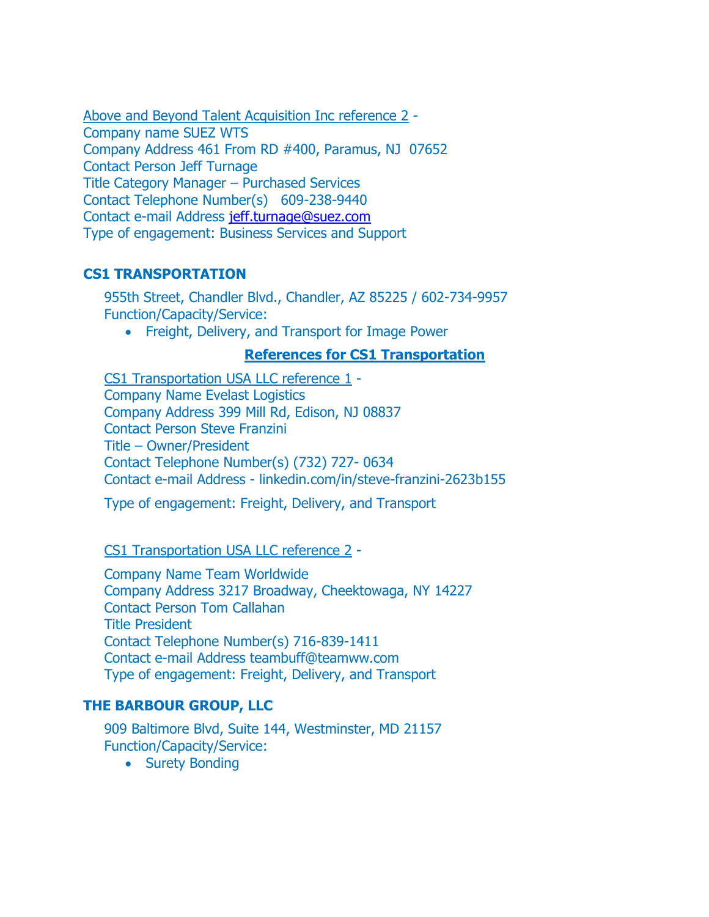Above and Beyond Talent Acquisition Inc reference 2 - Company name SUEZ WTS Company Address 461 From RD #400, Paramus, NJ 07652 Contact Person Jeff Turnage Title Category Manager – Purchased Services Contact Telephone Number(s) 609-238-9440 Contact e-mail Address [jeff.turnage@suez.com](mailto:jeff.turnage@suez.com) Type of engagement: Business Services and Support

## **CS1 TRANSPORTATION**

955th Street, Chandler Blvd., Chandler, AZ 85225 / 602-734-9957 Function/Capacity/Service:

• Freight, Delivery, and Transport for Image Power

## **References for CS1 Transportation**

CS1 Transportation USA LLC reference 1 - Company Name Evelast Logistics Company Address 399 Mill Rd, Edison, NJ 08837 Contact Person Steve Franzini Title – Owner/President Contact Telephone Number(s) (732) 727- 0634 Contact e-mail Address - linkedin.com/in/steve-franzini-2623b155

Type of engagement: Freight, Delivery, and Transport

CS1 Transportation USA LLC reference 2 -

Company Name Team Worldwide Company Address 3217 Broadway, Cheektowaga, NY 14227 Contact Person Tom Callahan Title President Contact Telephone Number(s) 716-839-1411 Contact e-mail Address teambuff@teamww.com Type of engagement: Freight, Delivery, and Transport

## **THE BARBOUR GROUP, LLC**

909 Baltimore Blvd, Suite 144, Westminster, MD 21157 Function/Capacity/Service:

• Surety Bonding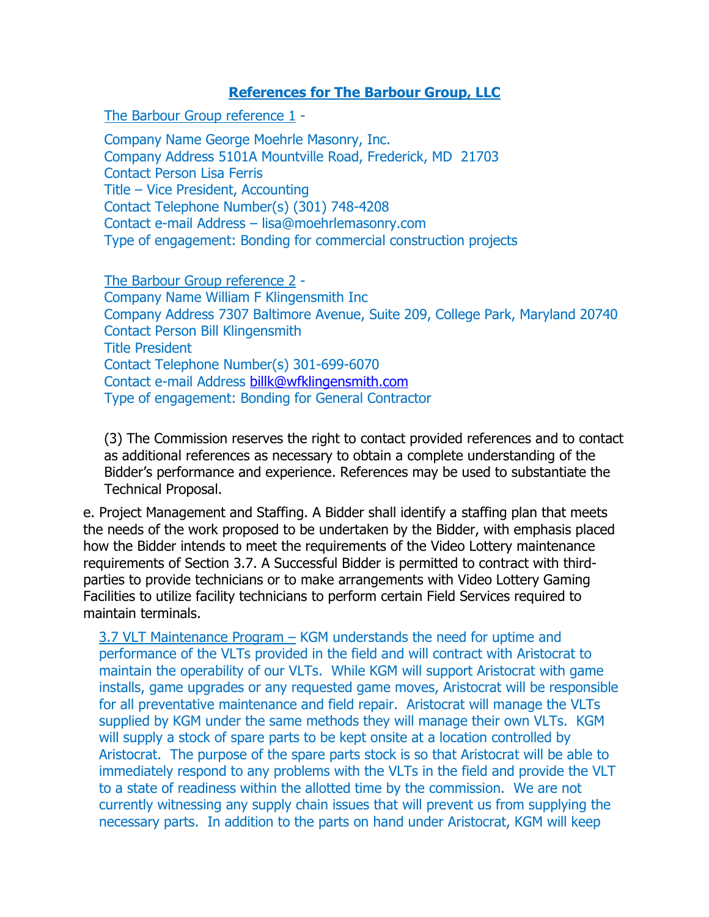#### **References for The Barbour Group, LLC**

The Barbour Group reference 1 -

Company Name George Moehrle Masonry, Inc. Company Address 5101A Mountville Road, Frederick, MD 21703 Contact Person Lisa Ferris Title – Vice President, Accounting Contact Telephone Number(s) (301) 748-4208 Contact e-mail Address – lisa@moehrlemasonry.com Type of engagement: Bonding for commercial construction projects

The Barbour Group reference 2 - Company Name William F Klingensmith Inc Company Address 7307 Baltimore Avenue, Suite 209, College Park, Maryland 20740 Contact Person Bill Klingensmith Title President Contact Telephone Number(s) 301-699-6070 Contact e-mail Address [billk@wfklingensmith.com](mailto:billk@wfklingensmith.com) Type of engagement: Bonding for General Contractor

(3) The Commission reserves the right to contact provided references and to contact as additional references as necessary to obtain a complete understanding of the Bidder's performance and experience. References may be used to substantiate the Technical Proposal.

e. Project Management and Staffing. A Bidder shall identify a staffing plan that meets the needs of the work proposed to be undertaken by the Bidder, with emphasis placed how the Bidder intends to meet the requirements of the Video Lottery maintenance requirements of Section 3.7. A Successful Bidder is permitted to contract with thirdparties to provide technicians or to make arrangements with Video Lottery Gaming Facilities to utilize facility technicians to perform certain Field Services required to maintain terminals.

3.7 VLT Maintenance Program – KGM understands the need for uptime and performance of the VLTs provided in the field and will contract with Aristocrat to maintain the operability of our VLTs. While KGM will support Aristocrat with game installs, game upgrades or any requested game moves, Aristocrat will be responsible for all preventative maintenance and field repair. Aristocrat will manage the VLTs supplied by KGM under the same methods they will manage their own VLTs. KGM will supply a stock of spare parts to be kept onsite at a location controlled by Aristocrat. The purpose of the spare parts stock is so that Aristocrat will be able to immediately respond to any problems with the VLTs in the field and provide the VLT to a state of readiness within the allotted time by the commission. We are not currently witnessing any supply chain issues that will prevent us from supplying the necessary parts. In addition to the parts on hand under Aristocrat, KGM will keep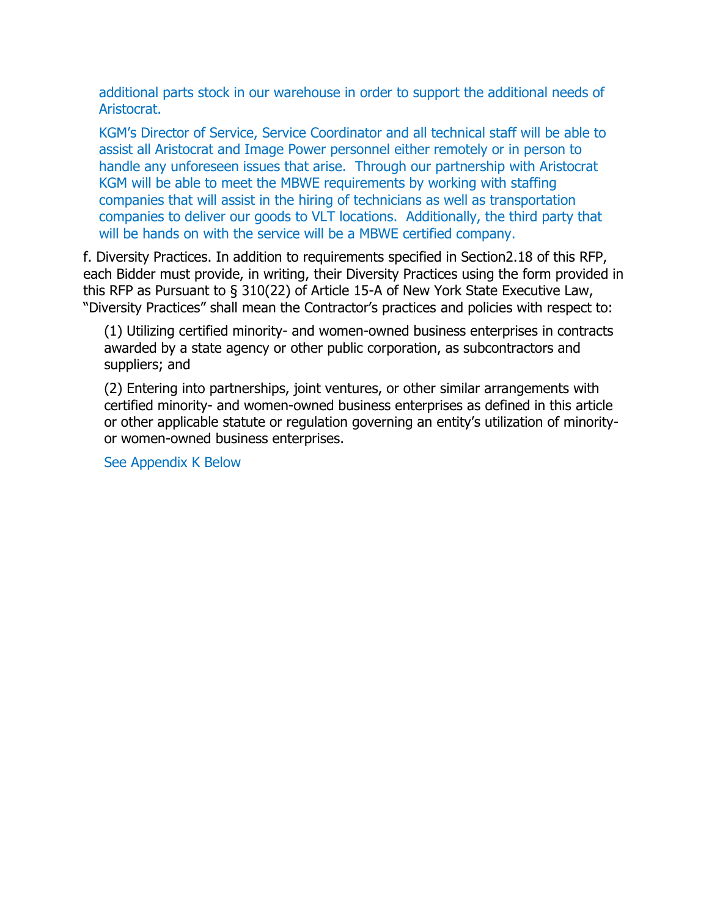additional parts stock in our warehouse in order to support the additional needs of Aristocrat.

KGM's Director of Service, Service Coordinator and all technical staff will be able to assist all Aristocrat and Image Power personnel either remotely or in person to handle any unforeseen issues that arise. Through our partnership with Aristocrat KGM will be able to meet the MBWE requirements by working with staffing companies that will assist in the hiring of technicians as well as transportation companies to deliver our goods to VLT locations. Additionally, the third party that will be hands on with the service will be a MBWE certified company.

f. Diversity Practices. In addition to requirements specified in Section2.18 of this RFP, each Bidder must provide, in writing, their Diversity Practices using the form provided in this RFP as Pursuant to § 310(22) of Article 15-A of New York State Executive Law, "Diversity Practices" shall mean the Contractor's practices and policies with respect to:

(1) Utilizing certified minority- and women-owned business enterprises in contracts awarded by a state agency or other public corporation, as subcontractors and suppliers; and

(2) Entering into partnerships, joint ventures, or other similar arrangements with certified minority- and women-owned business enterprises as defined in this article or other applicable statute or regulation governing an entity's utilization of minorityor women-owned business enterprises.

See Appendix K Below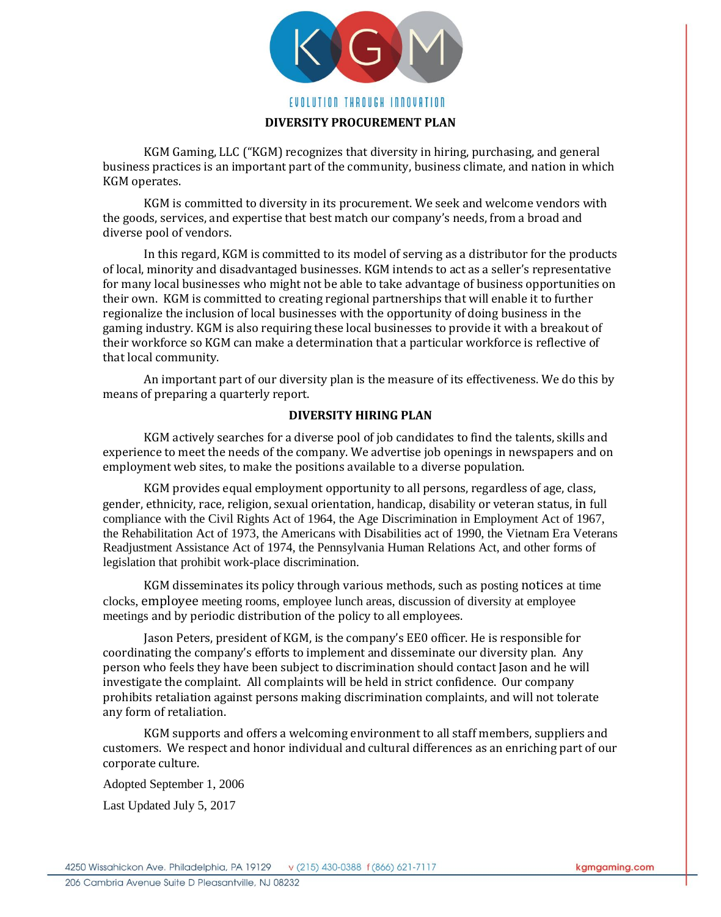

KGM Gaming, LLC ("KGM) recognizes that diversity in hiring, purchasing, and general business practices is an important part of the community, business climate, and nation in which KGM operates.

KGM is committed to diversity in its procurement. We seek and welcome vendors with the goods, services, and expertise that best match our company's needs, from a broad and diverse pool of vendors.

In this regard, KGM is committed to its model of serving as a distributor for the products of local, minority and disadvantaged businesses. KGM intends to act as a seller's representative for many local businesses who might not be able to take advantage of business opportunities on their own. KGM is committed to creating regional partnerships that will enable it to further regionalize the inclusion of local businesses with the opportunity of doing business in the gaming industry. KGM is also requiring these local businesses to provide it with a breakout of their workforce so KGM can make a determination that a particular workforce is reflective of that local community.

An important part of our diversity plan is the measure of its effectiveness. We do this by means of preparing a quarterly report.

#### **DIVERSITY HIRING PLAN**

KGM actively searches for a diverse pool of job candidates to find the talents, skills and experience to meet the needs of the company. We advertise job openings in newspapers and on employment web sites, to make the positions available to a diverse population.

KGM provides equal employment opportunity to all persons, regardless of age, class, gender, ethnicity, race, religion, sexual orientation, handicap, disability or veteran status, in full compliance with the Civil Rights Act of 1964, the Age Discrimination in Employment Act of 1967, the Rehabilitation Act of 1973, the Americans with Disabilities act of 1990, the Vietnam Era Veterans Readjustment Assistance Act of 1974, the Pennsylvania Human Relations Act, and other forms of legislation that prohibit work-place discrimination.

KGM disseminates its policy through various methods, such as posting notices at time clocks, employee meeting rooms, employee lunch areas, discussion of diversity at employee meetings and by periodic distribution of the policy to all employees.

Jason Peters, president of KGM, is the company's EE0 officer. He is responsible for coordinating the company's efforts to implement and disseminate our diversity plan. Any person who feels they have been subject to discrimination should contact Jason and he will investigate the complaint. All complaints will be held in strict confidence. Our company prohibits retaliation against persons making discrimination complaints, and will not tolerate any form of retaliation.

KGM supports and offers a welcoming environment to all staff members, suppliers and customers. We respect and honor individual and cultural differences as an enriching part of our corporate culture.

Adopted September 1, 2006

Last Updated July 5, 2017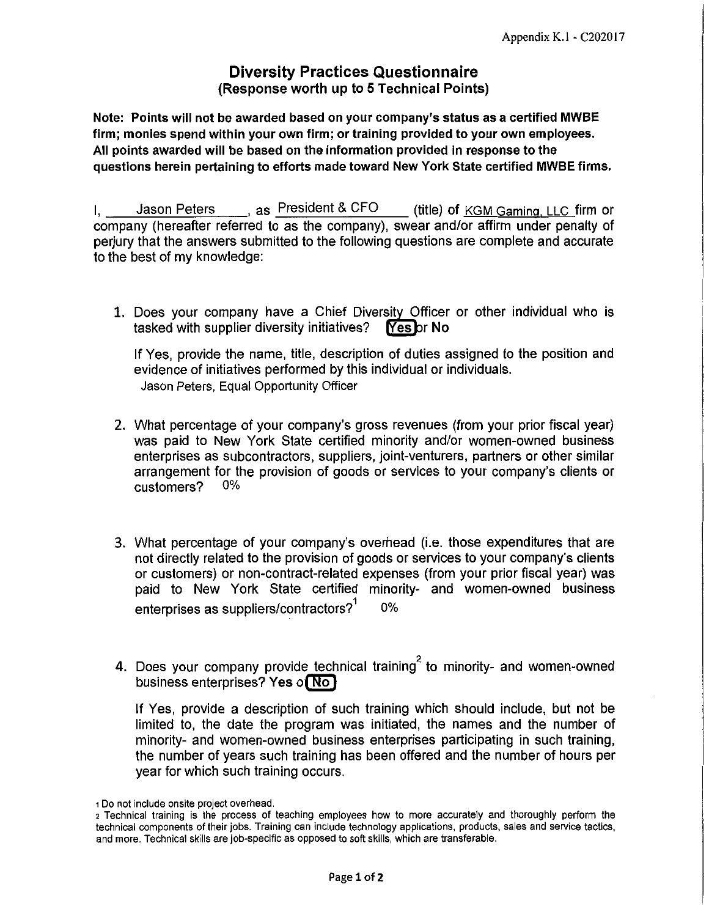### Diversity Practices Questionnaire (Response worth up to <sup>5</sup> Technical Points)

Note: Points will not be awarded based on your company's status as <sup>a</sup> certified MWBE firm; monies spend within your own firm; or training provided to your own employees. All points awarded will be based on the information provided in response to the questions herein pertaining to efforts made toward New York State certifled MWBE firms.

I, Jason Peters as President & CFO (title) of KGM Gaming, LLC firm or company (hereafter referred to as the company), swear and/or affirm under penalty of perjury that the answers submitted to the following questions are complete and accurate to the best of my knowledge:

1. Does your company have a Chief Diversity Officer or other individual who is tasked with supplier diversity initiatives? **Fest** or No tasked with supplier diversity initiatives?

If Yes, provide the name, title, description of duties assigned to the position and evidence of initiatives performed by this individual or individuals. Jason Peters, Equal Opportunity Officer

- 2. What percentage of your company's gross revenues (from your prior fiscal year) was paid to New York State certified minority and/or women-owned business enterprises as subcontractors, suppliers, joint-venturers, partners or other similar arrangement for the provision of goods or services to your company's clients or customers?  $0\%$ customers?
- What percentage of your company's overhead (i.e. those expenditures that are not directly related to the provision of goods or services to your company's clients or customers) or non-contract-related expenses (from your prior fiscal year) was paid to New York State certified minority- and women-owned business enterprises as suppliers/contractors? $^{\mathsf{1}}$   $^{\mathsf{0\%}}$
- 4. Does your company provide technical training<sup>2</sup> to minority- and women-owned business enterprises? Yes of No

If Yes, provide a description of such training which should include, but not be limited to, the date the program was initiated, the names and the number of minority- and women-owned business enterprises participating in such training, the number of years such training has been offered and the number of hours per year for which such training occurs.

<sup>1</sup> Do not include onsite project overhead.

<sup>2</sup> Technlcal training is the process of teaching employees how to more accurately and thoroughly perfonn the technical components of their jobs. Training can include technology applications, products, sales and service tactics, and more. Technical skills are job-specific as opposed to soft skills, which are transferable.